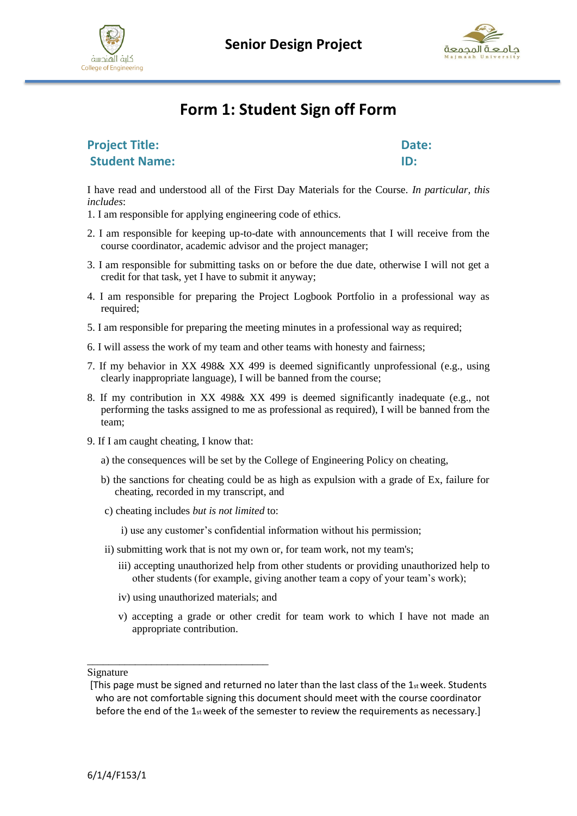





# **Form 1: Student Sign off Form**

**Project Title:** Date: **Student Name:** ID:

I have read and understood all of the First Day Materials for the Course. *In particular, this includes*:

- 1. I am responsible for applying engineering code of ethics.
- 2. I am responsible for keeping up-to-date with announcements that I will receive from the course coordinator, academic advisor and the project manager;
- 3. I am responsible for submitting tasks on or before the due date, otherwise I will not get a credit for that task, yet I have to submit it anyway;
- 4. I am responsible for preparing the Project Logbook Portfolio in a professional way as required;
- 5. I am responsible for preparing the meeting minutes in a professional way as required;
- 6. I will assess the work of my team and other teams with honesty and fairness;
- 7. If my behavior in XX 498& XX 499 is deemed significantly unprofessional (e.g., using clearly inappropriate language), I will be banned from the course;
- 8. If my contribution in XX 498& XX 499 is deemed significantly inadequate (e.g., not performing the tasks assigned to me as professional as required), I will be banned from the team;
- 9. If I am caught cheating, I know that:
	- a) the consequences will be set by the College of Engineering Policy on cheating,
	- b) the sanctions for cheating could be as high as expulsion with a grade of Ex, failure for cheating, recorded in my transcript, and
	- c) cheating includes *but is not limited* to:

i) use any customer's confidential information without his permission;

- ii) submitting work that is not my own or, for team work, not my team's;
	- iii) accepting unauthorized help from other students or providing unauthorized help to other students (for example, giving another team a copy of your team's work);
	- iv) using unauthorized materials; and

\_\_\_\_\_\_\_\_\_\_\_\_\_\_\_\_\_\_\_\_\_\_\_\_\_\_\_\_\_\_\_\_\_\_

v) accepting a grade or other credit for team work to which I have not made an appropriate contribution.

Signature

<sup>[</sup>This page must be signed and returned no later than the last class of the  $1_{st}$  week. Students who are not comfortable signing this document should meet with the course coordinator before the end of the  $1_{st}$  week of the semester to review the requirements as necessary.]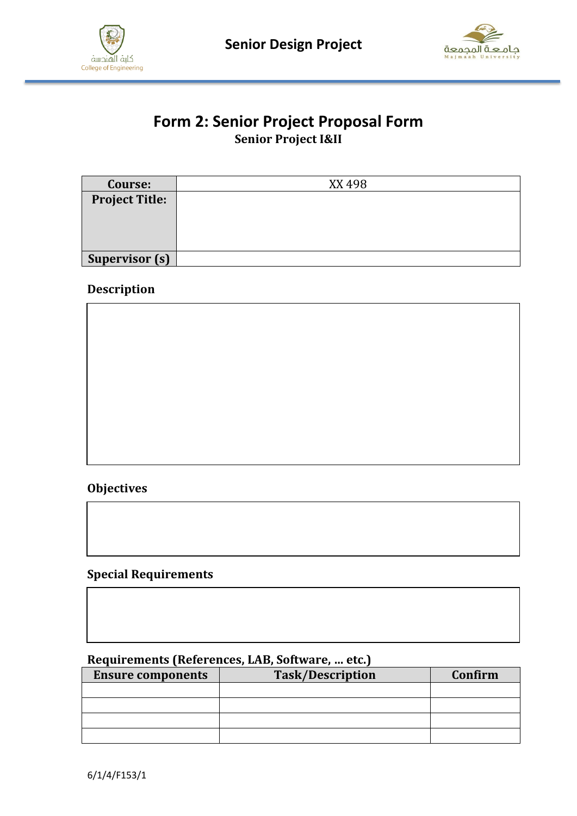



### **Form 2: Senior Project Proposal Form Senior Project I&II**

| Course:               | XX 498 |
|-----------------------|--------|
| <b>Project Title:</b> |        |
|                       |        |
|                       |        |
|                       |        |
| <b>Supervisor (s)</b> |        |

#### **Description**



#### **Objectives**

#### **Special Requirements**

#### **Requirements (References, LAB, Software, … etc.)**

| <b>Ensure components</b> | <b>Task/Description</b> | Confirm |
|--------------------------|-------------------------|---------|
|                          |                         |         |
|                          |                         |         |
|                          |                         |         |
|                          |                         |         |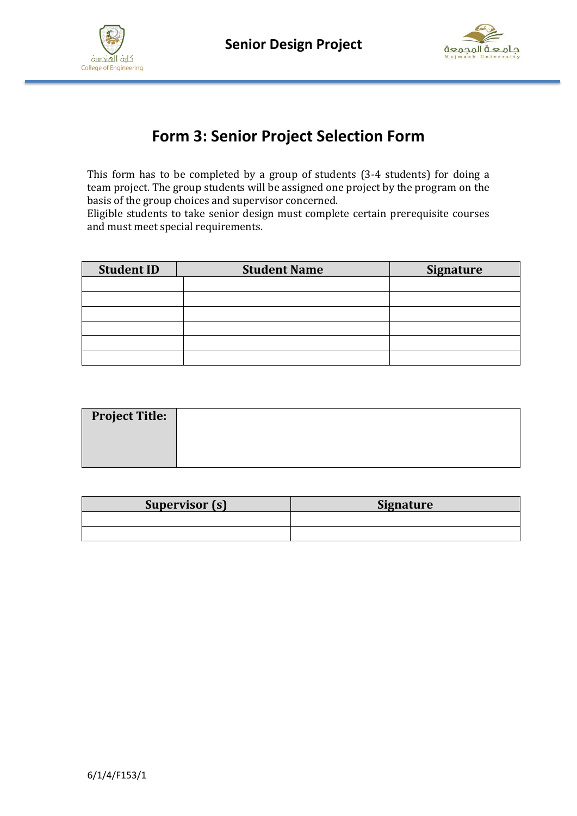



# **Form 3: Senior Project Selection Form**

This form has to be completed by a group of students (3-4 students) for doing a team project. The group students will be assigned one project by the program on the basis of the group choices and supervisor concerned.

Eligible students to take senior design must complete certain prerequisite courses and must meet special requirements.

| <b>Student ID</b> | <b>Student Name</b> | <b>Signature</b> |
|-------------------|---------------------|------------------|
|                   |                     |                  |
|                   |                     |                  |
|                   |                     |                  |
|                   |                     |                  |
|                   |                     |                  |
|                   |                     |                  |

| <b>Project Title:</b> |  |
|-----------------------|--|
|                       |  |
|                       |  |

| Supervisor (s) | <b>Signature</b> |
|----------------|------------------|
|                |                  |
|                |                  |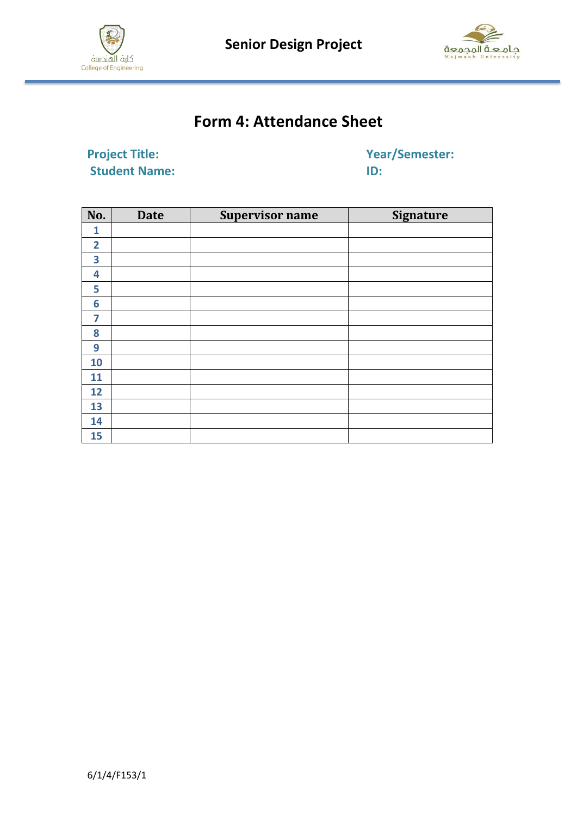

 **Senior Design Project**



# **Form 4: Attendance Sheet**

**Project Title:** Year/Semester: **Student Name:** ID:

| No.            | <b>Date</b> | <b>Supervisor name</b> | <b>Signature</b> |
|----------------|-------------|------------------------|------------------|
| 1              |             |                        |                  |
| $\overline{2}$ |             |                        |                  |
| 3              |             |                        |                  |
| 4              |             |                        |                  |
| 5              |             |                        |                  |
| 6              |             |                        |                  |
| 7              |             |                        |                  |
| 8              |             |                        |                  |
| 9              |             |                        |                  |
| 10             |             |                        |                  |
| 11             |             |                        |                  |
| 12             |             |                        |                  |
| 13             |             |                        |                  |
| 14             |             |                        |                  |
| 15             |             |                        |                  |